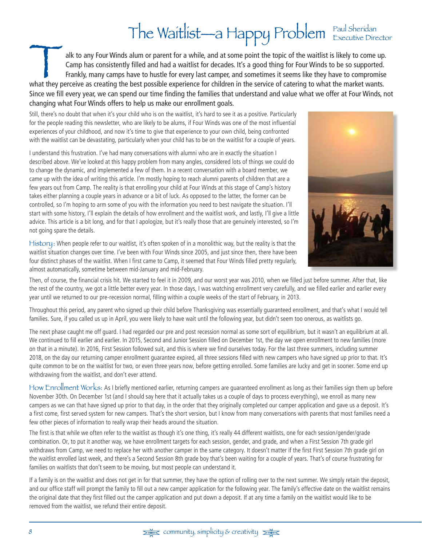## The Waitlist—a Happy Problem Executive Director

Talk to any Four Winds alum or parent for a while, and at some point the topic of the waitlist is likely to come up.<br>Camp has consistently filled and had a waitlist for decades. It's a good thing for Four Winds to be so su Camp has consistently filled and had a waitlist for decades. It's a good thing for Four Winds to be so supported. Frankly, many camps have to hustle for every last camper, and sometimes it seems like they have to compromise what they perceive as creating the best possible experience for children in the service of catering to what the market wants. Since we fill every year, we can spend our time finding the families that understand and value what we offer at Four Winds, not changing what Four Winds offers to help us make our enrollment goals.

Still, there's no doubt that when it's your child who is on the waitlist, it's hard to see it as a positive. Particularly for the people reading this newsletter, who are likely to be alums, if Four Winds was one of the most influential experiences of your childhood, and now it's time to give that experience to your own child, being confronted with the waitlist can be devastating, particularly when your child has to be on the waitlist for a couple of years.

I understand this frustration. I've had many conversations with alumni who are in exactly the situation I described above. We've looked at this happy problem from many angles, considered lots of things we could do to change the dynamic, and implemented a few of them. In a recent conversation with a board member, we came up with the idea of writing this article. I'm mostly hoping to reach alumni parents of children that are a few years out from Camp. The reality is that enrolling your child at Four Winds at this stage of Camp's history takes either planning a couple years in advance or a bit of luck. As opposed to the latter, the former can be controlled, so I'm hoping to arm some of you with the information you need to best navigate the situation. I'll start with some history, I'll explain the details of how enrollment and the waitlist work, and lastly, I'll give a little advice. This article is a bit long, and for that I apologize, but it's really those that are genuinely interested, so I'm not going spare the details.

History: When people refer to our waitlist, it's often spoken of in a monolithic way, but the reality is that the waitlist situation changes over time. I've been with Four Winds since 2005, and just since then, there have been four distinct phases of the waitlist. When I first came to Camp, it seemed that Four Winds filled pretty regularly, almost automatically, sometime between mid-January and mid-February.



Then, of course, the financial crisis hit. We started to feel it in 2009, and our worst year was 2010, when we filled just before summer. After that, like the rest of the country, we got a little better every year. In those days, I was watching enrollment very carefully, and we filled earlier and earlier every year until we returned to our pre-recession normal, filling within a couple weeks of the start of February, in 2013.

Throughout this period, any parent who signed up their child before Thanksgiving was essentially guaranteed enrollment, and that's what I would tell families. Sure, if you called us up in April, you were likely to have wait until the following year, but didn't seem too onerous, as waitlists go.

The next phase caught me off guard. I had regarded our pre and post recession normal as some sort of equilibrium, but it wasn't an equilibrium at all. We continued to fill earlier and earlier. In 2015, Second and Junior Session filled on December 1st, the day we open enrollment to new families (more on that in a minute). In 2016, First Session followed suit, and this is where we find ourselves today. For the last three summers, including summer 2018, on the day our returning camper enrollment guarantee expired, all three sessions filled with new campers who have signed up prior to that. It's quite common to be on the waitlist for two, or even three years now, before getting enrolled. Some families are lucky and get in sooner. Some end up withdrawing from the waitlist, and don't ever attend.

How Enrollment Works: As I briefly mentioned earlier, returning campers are guaranteed enrollment as long as their families sign them up before November 30th. On December 1st (and I should say here that it actually takes us a couple of days to process everything), we enroll as many new campers as we can that have signed up prior to that day, in the order that they originally completed our camper application and gave us a deposit. It's a first come, first served system for new campers. That's the short version, but I know from many conversations with parents that most families need a few other pieces of information to really wrap their heads around the situation.

The first is that while we often refer to the waitlist as though it's one thing, it's really 44 different waitlists, one for each session/gender/grade combination. Or, to put it another way, we have enrollment targets for each session, gender, and grade, and when a First Session 7th grade girl withdraws from Camp, we need to replace her with another camper in the same category. It doesn't matter if the first First Session 7th grade girl on the waitlist enrolled last week, and there's a Second Session 8th grade boy that's been waiting for a couple of years. That's of course frustrating for families on waitlists that don't seem to be moving, but most people can understand it.

If a family is on the waitlist and does not get in for that summer, they have the option of rolling over to the next summer. We simply retain the deposit, and our office staff will prompt the family to fill out a new camper application for the following year. The family's effective date on the waitlist remains the original date that they first filled out the camper application and put down a deposit. If at any time a family on the waitlist would like to be removed from the waitlist, we refund their entire deposit.